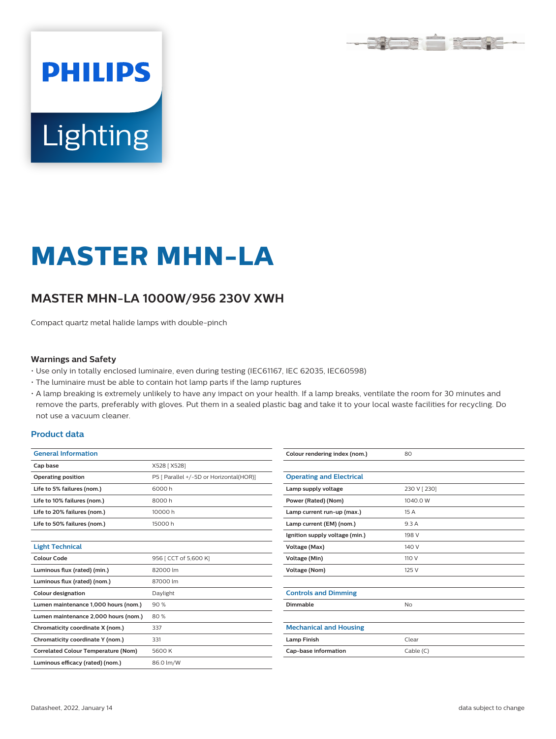

# Lighting

**PHILIPS** 

# **MASTER MHN-LA**

# **MASTER MHN-LA 1000W/956 230V XWH**

Compact quartz metal halide lamps with double-pinch

#### **Warnings and Safety**

- Use only in totally enclosed luminaire, even during testing (IEC61167, IEC 62035, IEC60598)
- The luminaire must be able to contain hot lamp parts if the lamp ruptures
- A lamp breaking is extremely unlikely to have any impact on your health. If a lamp breaks, ventilate the room for 30 minutes and remove the parts, preferably with gloves. Put them in a sealed plastic bag and take it to your local waste facilities for recycling. Do not use a vacuum cleaner.

#### **Product data**

| <b>General Information</b>                 |                                         |  |  |  |  |
|--------------------------------------------|-----------------------------------------|--|--|--|--|
| Cap base                                   | X528 [X528]                             |  |  |  |  |
| <b>Operating position</b>                  | P5 [ Parallel +/-5D or Horizontal(HOR)] |  |  |  |  |
| Life to 5% failures (nom.)                 | 6000h                                   |  |  |  |  |
| Life to 10% failures (nom.)                | 8000h                                   |  |  |  |  |
| Life to 20% failures (nom.)                | 10000h                                  |  |  |  |  |
| Life to 50% failures (nom.)                | 15000h                                  |  |  |  |  |
|                                            |                                         |  |  |  |  |
| <b>Light Technical</b>                     |                                         |  |  |  |  |
| Colour Code                                | 956   CCT of 5,600 K]                   |  |  |  |  |
| Luminous flux (rated) (min.)               | 82000 lm                                |  |  |  |  |
| Luminous flux (rated) (nom.)               | 87000 lm                                |  |  |  |  |
| <b>Colour designation</b>                  | Daylight                                |  |  |  |  |
| Lumen maintenance 1,000 hours (nom.)       | 90%                                     |  |  |  |  |
| Lumen maintenance 2,000 hours (nom.)       | 80%                                     |  |  |  |  |
| Chromaticity coordinate X (nom.)           | 337                                     |  |  |  |  |
| Chromaticity coordinate Y (nom.)           | 331                                     |  |  |  |  |
| <b>Correlated Colour Temperature (Nom)</b> | 5600K                                   |  |  |  |  |
| Luminous efficacy (rated) (nom.)           | 86.0 lm/W                               |  |  |  |  |

| Colour rendering index (nom.)   | 80           |  |  |
|---------------------------------|--------------|--|--|
|                                 |              |  |  |
| <b>Operating and Electrical</b> |              |  |  |
| Lamp supply voltage             | 230 V [ 230] |  |  |
| Power (Rated) (Nom)             | 1040.0 W     |  |  |
| Lamp current run-up (max.)      | 15A          |  |  |
| Lamp current (EM) (nom.)        | 9.3 A        |  |  |
| Ignition supply voltage (min.)  | 198 V        |  |  |
| Voltage (Max)                   | 140 V        |  |  |
| Voltage (Min)                   | 110 V        |  |  |
| Voltage (Nom)                   | 125 V        |  |  |
|                                 |              |  |  |
| <b>Controls and Dimming</b>     |              |  |  |
| Dimmable                        | No           |  |  |
|                                 |              |  |  |
| <b>Mechanical and Housing</b>   |              |  |  |
| <b>Lamp Finish</b>              | Clear        |  |  |
| Cap-base information            | Cable(C)     |  |  |
|                                 |              |  |  |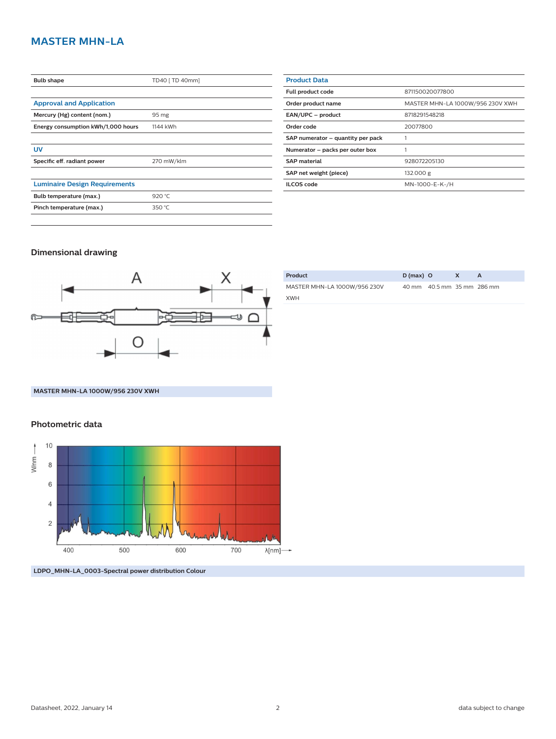# **MASTER MHN-LA**

| <b>Bulb shape</b>                    | TD40 [ TD 40mm] |  |  |
|--------------------------------------|-----------------|--|--|
|                                      |                 |  |  |
| <b>Approval and Application</b>      |                 |  |  |
| Mercury (Hg) content (nom.)          | 95 mg           |  |  |
| Energy consumption kWh/1,000 hours   | 1144 kWh        |  |  |
|                                      |                 |  |  |
| UV                                   |                 |  |  |
| Specific eff. radiant power          | 270 mW/klm      |  |  |
|                                      |                 |  |  |
| <b>Luminaire Design Requirements</b> |                 |  |  |
| Bulb temperature (max.)              | 920 °C          |  |  |
| Pinch temperature (max.)             | 350 °C          |  |  |
|                                      |                 |  |  |

| <b>Product Data</b>               |                                  |  |  |  |  |
|-----------------------------------|----------------------------------|--|--|--|--|
| Full product code                 | 871150020077800                  |  |  |  |  |
| Order product name                | MASTER MHN-LA 1000W/956 230V XWH |  |  |  |  |
| EAN/UPC - product                 | 8718291548218                    |  |  |  |  |
| Order code                        | 20077800                         |  |  |  |  |
| SAP numerator - quantity per pack |                                  |  |  |  |  |
| Numerator - packs per outer box   |                                  |  |  |  |  |
| <b>SAP material</b>               | 928072205130                     |  |  |  |  |
| SAP net weight (piece)            | 132.000 g                        |  |  |  |  |
| <b>ILCOS</b> code                 | MN-1000-E-K-/H                   |  |  |  |  |
|                                   |                                  |  |  |  |  |

## **Dimensional drawing**



| Product                      | $D(max)$ O |                            | X |  |
|------------------------------|------------|----------------------------|---|--|
| MASTER MHN-LA 1000W/956 230V |            | 40 mm 40.5 mm 35 mm 286 mm |   |  |
| <b>XWH</b>                   |            |                            |   |  |

**MASTER MHN-LA 1000W/956 230V XWH**

### **Photometric data**



**LDPO\_MHN-LA\_0003-Spectral power distribution Colour**